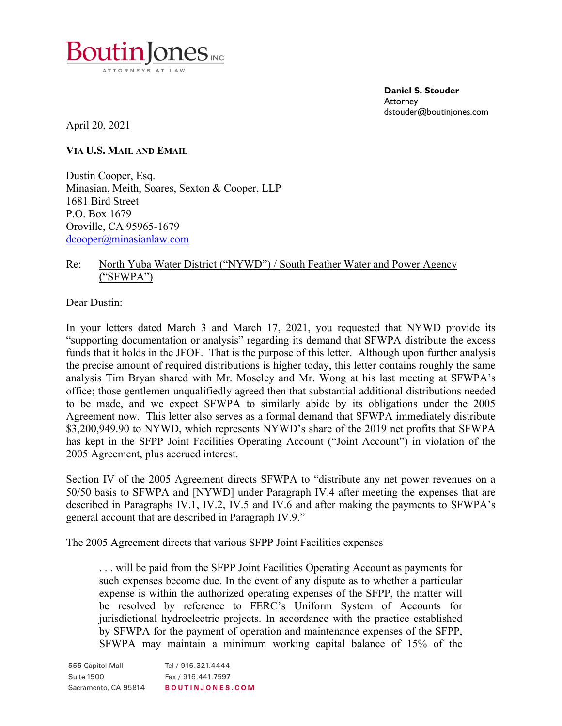

**Daniel S. Stouder Attorney** dstouder@boutinjones.com

April 20, 2021

**VIA U.S. MAIL AND EMAIL**

Dustin Cooper, Esq. Minasian, Meith, Soares, Sexton & Cooper, LLP 1681 Bird Street P.O. Box 1679 Oroville, CA 95965-1679 [dcooper@minasianlaw.com](mailto:dcooper@minasianlaw.com)

## Re: North Yuba Water District ("NYWD") / South Feather Water and Power Agency ("SFWPA")

Dear Dustin:

In your letters dated March 3 and March 17, 2021, you requested that NYWD provide its "supporting documentation or analysis" regarding its demand that SFWPA distribute the excess funds that it holds in the JFOF. That is the purpose of this letter. Although upon further analysis the precise amount of required distributions is higher today, this letter contains roughly the same analysis Tim Bryan shared with Mr. Moseley and Mr. Wong at his last meeting at SFWPA's office; those gentlemen unqualifiedly agreed then that substantial additional distributions needed to be made, and we expect SFWPA to similarly abide by its obligations under the 2005 Agreement now. This letter also serves as a formal demand that SFWPA immediately distribute \$3,200,949.90 to NYWD, which represents NYWD's share of the 2019 net profits that SFWPA has kept in the SFPP Joint Facilities Operating Account ("Joint Account") in violation of the 2005 Agreement, plus accrued interest.

Section IV of the 2005 Agreement directs SFWPA to "distribute any net power revenues on a 50/50 basis to SFWPA and [NYWD] under Paragraph IV.4 after meeting the expenses that are described in Paragraphs IV.1, IV.2, IV.5 and IV.6 and after making the payments to SFWPA's general account that are described in Paragraph IV.9."

The 2005 Agreement directs that various SFPP Joint Facilities expenses

. . . will be paid from the SFPP Joint Facilities Operating Account as payments for such expenses become due. In the event of any dispute as to whether a particular expense is within the authorized operating expenses of the SFPP, the matter will be resolved by reference to FERC's Uniform System of Accounts for jurisdictional hydroelectric projects. In accordance with the practice established by SFWPA for the payment of operation and maintenance expenses of the SFPP, SFWPA may maintain a minimum working capital balance of 15% of the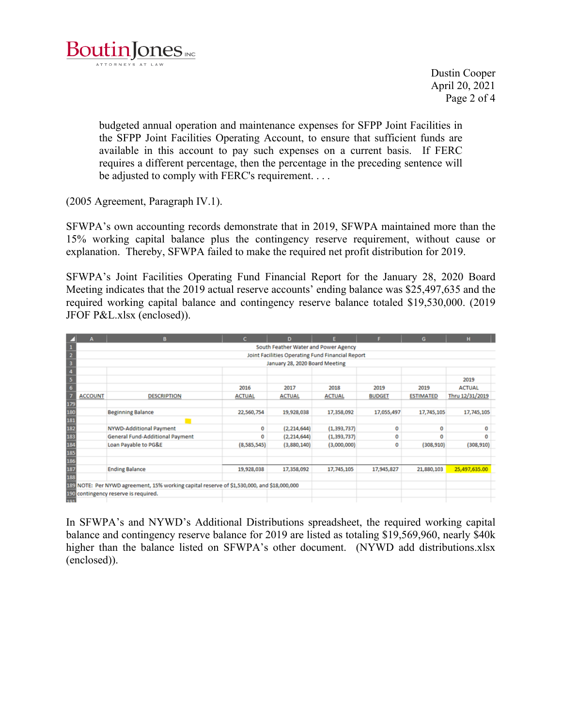

Dustin Cooper April 20, 2021 Page 2 of 4

budgeted annual operation and maintenance expenses for SFPP Joint Facilities in the SFPP Joint Facilities Operating Account, to ensure that sufficient funds are available in this account to pay such expenses on a current basis. If FERC requires a different percentage, then the percentage in the preceding sentence will be adjusted to comply with FERC's requirement. . . .

(2005 Agreement, Paragraph IV.1).

SFWPA's own accounting records demonstrate that in 2019, SFWPA maintained more than the 15% working capital balance plus the contingency reserve requirement, without cause or explanation. Thereby, SFWPA failed to make the required net profit distribution for 2019.

SFWPA's Joint Facilities Operating Fund Financial Report for the January 28, 2020 Board Meeting indicates that the 2019 actual reserve accounts' ending balance was \$25,497,635 and the required working capital balance and contingency reserve balance totaled \$19,530,000. (2019 JFOF P&L.xlsx (enclosed)).

| z                       | А                                                | в                                                                                          | c             | D             |               |               | G                | н               |  |  |  |
|-------------------------|--------------------------------------------------|--------------------------------------------------------------------------------------------|---------------|---------------|---------------|---------------|------------------|-----------------|--|--|--|
| 1                       | South Feather Water and Power Agency             |                                                                                            |               |               |               |               |                  |                 |  |  |  |
| $\overline{2}$          | Joint Facilities Operating Fund Financial Report |                                                                                            |               |               |               |               |                  |                 |  |  |  |
| 3                       |                                                  | January 28, 2020 Board Meeting                                                             |               |               |               |               |                  |                 |  |  |  |
| $\overline{4}$          |                                                  |                                                                                            |               |               |               |               |                  |                 |  |  |  |
| $\overline{\mathbf{5}}$ |                                                  |                                                                                            |               |               |               |               |                  | 2019            |  |  |  |
| $\overline{6}$          |                                                  |                                                                                            | 2016          | 2017          | 2018          | 2019          | 2019             | <b>ACTUAL</b>   |  |  |  |
| 7                       | <b>ACCOUNT</b>                                   | <b>DESCRIPTION</b>                                                                         | <b>ACTUAL</b> | <b>ACTUAL</b> | <b>ACTUAL</b> | <b>BUDGET</b> | <b>ESTIMATED</b> | Thru 12/31/2019 |  |  |  |
| 179                     |                                                  |                                                                                            |               |               |               |               |                  |                 |  |  |  |
| 180                     |                                                  | <b>Beginning Balance</b>                                                                   | 22,560,754    | 19,928,038    | 17,358,092    | 17,055,497    | 17,745,105       | 17,745,105      |  |  |  |
| 181                     |                                                  |                                                                                            |               |               |               |               |                  |                 |  |  |  |
| 182                     |                                                  | <b>NYWD-Additional Payment</b>                                                             | 0             | (2, 214, 644) | (1, 393, 737) | 0             | 0                | 0               |  |  |  |
| 183                     |                                                  | <b>General Fund-Additional Payment</b>                                                     | 0             | (2, 214, 644) | (1, 393, 737) | 0             | 0                | $\Omega$        |  |  |  |
| 184<br>185              |                                                  | Loan Payable to PG&E                                                                       | (8,585,545)   | (3,880,140)   | (3,000,000)   | 0             | (308, 910)       | (308, 910)      |  |  |  |
|                         |                                                  |                                                                                            |               |               |               |               |                  |                 |  |  |  |
| 186                     |                                                  |                                                                                            |               |               |               |               |                  |                 |  |  |  |
| 187                     |                                                  | <b>Ending Balance</b>                                                                      | 19,928,038    | 17,358,092    | 17,745,105    | 17,945,827    | 21,880,103       | 25,497,635.00   |  |  |  |
| 188                     |                                                  |                                                                                            |               |               |               |               |                  |                 |  |  |  |
|                         |                                                  | 189 NOTE: Per NYWD agreement, 15% working capital reserve of \$1,530,000, and \$18,000,000 |               |               |               |               |                  |                 |  |  |  |
|                         | 190 contingency reserve is required.             |                                                                                            |               |               |               |               |                  |                 |  |  |  |
| 191                     |                                                  |                                                                                            |               |               |               |               |                  |                 |  |  |  |

In SFWPA's and NYWD's Additional Distributions spreadsheet, the required working capital balance and contingency reserve balance for 2019 are listed as totaling \$19,569,960, nearly \$40k higher than the balance listed on SFWPA's other document. (NYWD add distributions.xlsx (enclosed)).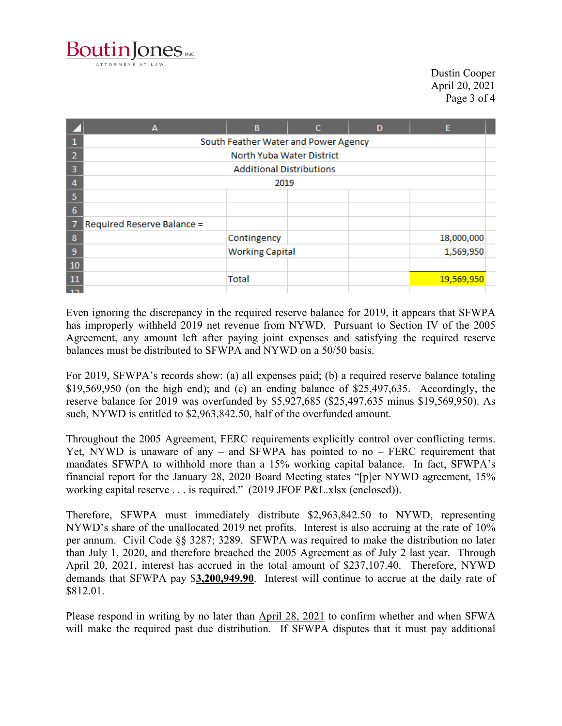

Dustin Cooper April 20, 2021 Page 3 of 4

|                | А                                    | B                      | c | D | E          |  |  |  |  |
|----------------|--------------------------------------|------------------------|---|---|------------|--|--|--|--|
|                | South Feather Water and Power Agency |                        |   |   |            |  |  |  |  |
|                | North Yuba Water District            |                        |   |   |            |  |  |  |  |
| З              | <b>Additional Distributions</b>      |                        |   |   |            |  |  |  |  |
|                | 2019                                 |                        |   |   |            |  |  |  |  |
|                |                                      |                        |   |   |            |  |  |  |  |
| 6              |                                      |                        |   |   |            |  |  |  |  |
|                | Required Reserve Balance =           |                        |   |   |            |  |  |  |  |
| 8              |                                      | Contingency            |   |   | 18,000,000 |  |  |  |  |
| 9              |                                      | <b>Working Capital</b> |   |   | 1,569,950  |  |  |  |  |
| 10             |                                      |                        |   |   |            |  |  |  |  |
| 11             |                                      | <b>Total</b>           |   |   | 19,569,950 |  |  |  |  |
| $\overline{a}$ |                                      |                        |   |   |            |  |  |  |  |

Even ignoring the discrepancy in the required reserve balance for 2019, it appears that SFWPA has improperly withheld 2019 net revenue from NYWD. Pursuant to Section IV of the 2005 Agreement, any amount left after paying joint expenses and satisfying the required reserve balances must be distributed to SFWPA and NYWD on a 50/50 basis.

For 2019, SFWPA's records show: (a) all expenses paid; (b) a required reserve balance totaling \$19,569,950 (on the high end); and (c) an ending balance of \$25,497,635. Accordingly, the reserve balance for 2019 was overfunded by \$5,927,685 (\$25,497,635 minus \$19,569,950). As such, NYWD is entitled to \$2,963,842.50, half of the overfunded amount.

Throughout the 2005 Agreement, FERC requirements explicitly control over conflicting terms. Yet, NYWD is unaware of any  $-$  and SFWPA has pointed to no  $-$  FERC requirement that mandates SFWPA to withhold more than a 15% working capital balance. In fact, SFWPA's financial report for the January 28, 2020 Board Meeting states "[p]er NYWD agreement, 15% working capital reserve . . . is required." (2019 JFOF P&L.xlsx (enclosed)).

Therefore, SFWPA must immediately distribute \$2,963,842.50 to NYWD, representing NYWD's share of the unallocated 2019 net profits. Interest is also accruing at the rate of 10% per annum. Civil Code §§ 3287; 3289. SFWPA was required to make the distribution no later than July 1, 2020, and therefore breached the 2005 Agreement as of July 2 last year. Through April 20, 2021, interest has accrued in the total amount of \$237,107.40. Therefore, NYWD demands that SFWPA pay \$**3,200,949.90**. Interest will continue to accrue at the daily rate of \$812.01.

Please respond in writing by no later than April 28, 2021 to confirm whether and when SFWA will make the required past due distribution. If SFWPA disputes that it must pay additional